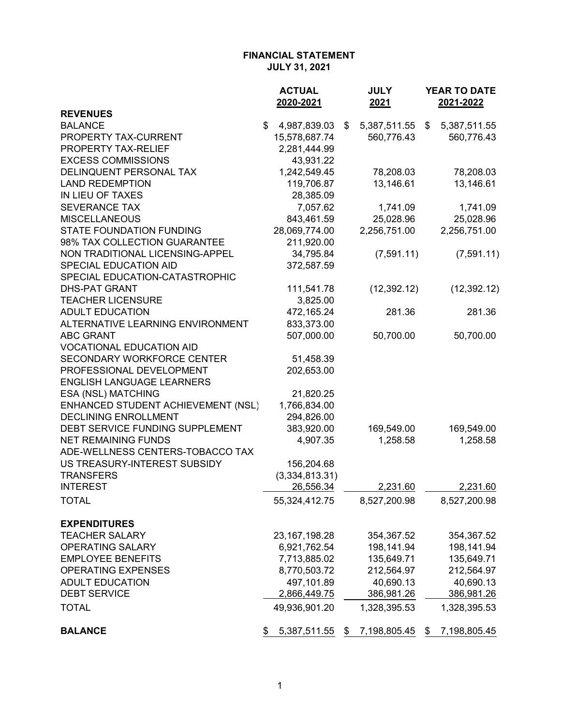|                                    | <b>ACTUAL</b>      | <b>JULY</b>        | <b>YEAR TO DATE</b> |
|------------------------------------|--------------------|--------------------|---------------------|
|                                    | 2020-2021          | 2021               | 2021-2022           |
| <b>REVENUES</b>                    |                    |                    |                     |
| <b>BALANCE</b>                     | \$<br>4,987,839.03 | \$<br>5,387,511.55 | \$<br>5,387,511.55  |
| PROPERTY TAX-CURRENT               | 15,578,687.74      | 560,776.43         | 560,776.43          |
| PROPERTY TAX-RELIEF                | 2,281,444.99       |                    |                     |
| <b>EXCESS COMMISSIONS</b>          | 43,931.22          |                    |                     |
| DELINQUENT PERSONAL TAX            | 1,242,549.45       | 78,208.03          | 78,208.03           |
| <b>LAND REDEMPTION</b>             | 119,706.87         | 13,146.61          | 13,146.61           |
| IN LIEU OF TAXES                   | 28,385.09          |                    |                     |
| <b>SEVERANCE TAX</b>               | 7,057.62           | 1,741.09           | 1,741.09            |
| <b>MISCELLANEOUS</b>               | 843,461.59         | 25,028.96          | 25,028.96           |
| <b>STATE FOUNDATION FUNDING</b>    | 28,069,774.00      | 2,256,751.00       | 2,256,751.00        |
| 98% TAX COLLECTION GUARANTEE       | 211,920.00         |                    |                     |
| NON TRADITIONAL LICENSING-APPEL    | 34,795.84          | (7,591.11)         | (7, 591.11)         |
| SPECIAL EDUCATION AID              | 372,587.59         |                    |                     |
| SPECIAL EDUCATION-CATASTROPHIC     |                    |                    |                     |
| <b>DHS-PAT GRANT</b>               | 111,541.78         | (12, 392.12)       | (12, 392.12)        |
| <b>TEACHER LICENSURE</b>           | 3,825.00           |                    |                     |
| <b>ADULT EDUCATION</b>             | 472,165.24         | 281.36             | 281.36              |
| ALTERNATIVE LEARNING ENVIRONMENT   | 833,373.00         |                    |                     |
| <b>ABC GRANT</b>                   | 507,000.00         | 50,700.00          | 50,700.00           |
| <b>VOCATIONAL EDUCATION AID</b>    |                    |                    |                     |
| <b>SECONDARY WORKFORCE CENTER</b>  | 51,458.39          |                    |                     |
| PROFESSIONAL DEVELOPMENT           | 202,653.00         |                    |                     |
| <b>ENGLISH LANGUAGE LEARNERS</b>   |                    |                    |                     |
| ESA (NSL) MATCHING                 | 21,820.25          |                    |                     |
| ENHANCED STUDENT ACHIEVEMENT (NSL) | 1,766,834.00       |                    |                     |
| <b>DECLINING ENROLLMENT</b>        | 294,826.00         |                    |                     |
| DEBT SERVICE FUNDING SUPPLEMENT    | 383,920.00         | 169,549.00         | 169,549.00          |
| <b>NET REMAINING FUNDS</b>         | 4,907.35           | 1,258.58           | 1,258.58            |
| ADE-WELLNESS CENTERS-TOBACCO TAX   |                    |                    |                     |
| US TREASURY-INTEREST SUBSIDY       | 156,204.68         |                    |                     |
| <b>TRANSFERS</b>                   | (3,334,813.31)     |                    |                     |
| <b>INTEREST</b>                    | 26,556.34          | 2,231.60           | 2,231.60            |
| <b>TOTAL</b>                       | 55,324,412.75      | 8,527,200.98       | 8,527,200.98        |
|                                    |                    |                    |                     |
| <b>EXPENDITURES</b>                |                    |                    |                     |
| <b>TEACHER SALARY</b>              | 23, 167, 198. 28   | 354,367.52         | 354,367.52          |
| <b>OPERATING SALARY</b>            | 6,921,762.54       | 198,141.94         | 198,141.94          |
| <b>EMPLOYEE BENEFITS</b>           | 7,713,885.02       | 135,649.71         | 135,649.71          |
| <b>OPERATING EXPENSES</b>          | 8,770,503.72       | 212,564.97         | 212,564.97          |
| <b>ADULT EDUCATION</b>             | 497,101.89         | 40,690.13          | 40,690.13           |
| <b>DEBT SERVICE</b>                |                    |                    |                     |
|                                    | 2,866,449.75       | 386,981.26         | 386,981.26          |
| <b>TOTAL</b>                       | 49,936,901.20      | 1,328,395.53       | 1,328,395.53        |
| <b>BALANCE</b>                     | \$<br>5,387,511.55 | \$<br>7,198,805.45 | \$<br>7,198,805.45  |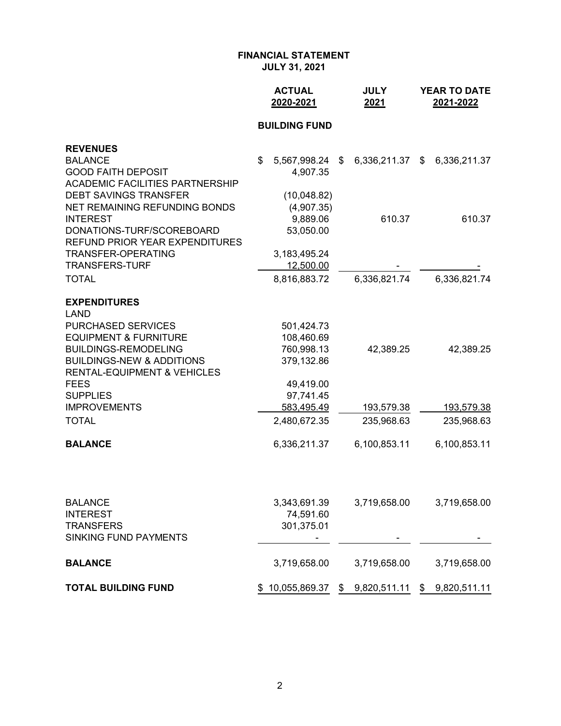|                                        | <b>ACTUAL</b><br>2020-2021 |      | <b>JULY</b><br>2021 | <b>YEAR TO DATE</b><br>2021-2022 |              |  |
|----------------------------------------|----------------------------|------|---------------------|----------------------------------|--------------|--|
|                                        | <b>BUILDING FUND</b>       |      |                     |                                  |              |  |
| <b>REVENUES</b>                        |                            |      |                     |                                  |              |  |
| <b>BALANCE</b>                         | \$<br>5,567,998.24         | - \$ | 6,336,211.37        | \$                               | 6,336,211.37 |  |
| <b>GOOD FAITH DEPOSIT</b>              | 4,907.35                   |      |                     |                                  |              |  |
| <b>ACADEMIC FACILITIES PARTNERSHIP</b> |                            |      |                     |                                  |              |  |
| <b>DEBT SAVINGS TRANSFER</b>           | (10,048.82)                |      |                     |                                  |              |  |
| <b>NET REMAINING REFUNDING BONDS</b>   | (4,907.35)                 |      |                     |                                  |              |  |
| <b>INTEREST</b>                        | 9,889.06                   |      | 610.37              |                                  | 610.37       |  |
| DONATIONS-TURF/SCOREBOARD              | 53,050.00                  |      |                     |                                  |              |  |
| REFUND PRIOR YEAR EXPENDITURES         |                            |      |                     |                                  |              |  |
| <b>TRANSFER-OPERATING</b>              | 3, 183, 495. 24            |      |                     |                                  |              |  |
| <b>TRANSFERS-TURF</b>                  | 12,500.00                  |      |                     |                                  |              |  |
| <b>TOTAL</b>                           | 8,816,883.72               |      | 6,336,821.74        |                                  | 6,336,821.74 |  |
| <b>EXPENDITURES</b>                    |                            |      |                     |                                  |              |  |
| <b>LAND</b>                            |                            |      |                     |                                  |              |  |
| <b>PURCHASED SERVICES</b>              | 501,424.73                 |      |                     |                                  |              |  |
| <b>EQUIPMENT &amp; FURNITURE</b>       | 108,460.69                 |      |                     |                                  |              |  |
| <b>BUILDINGS-REMODELING</b>            | 760,998.13                 |      | 42,389.25           |                                  | 42,389.25    |  |
| <b>BUILDINGS-NEW &amp; ADDITIONS</b>   | 379,132.86                 |      |                     |                                  |              |  |
| <b>RENTAL-EQUIPMENT &amp; VEHICLES</b> |                            |      |                     |                                  |              |  |
| <b>FEES</b>                            | 49,419.00                  |      |                     |                                  |              |  |
| <b>SUPPLIES</b><br><b>IMPROVEMENTS</b> | 97,741.45<br>583,495.49    |      | 193,579.38          |                                  |              |  |
|                                        |                            |      |                     |                                  | 193,579.38   |  |
| <b>TOTAL</b>                           | 2,480,672.35               |      | 235,968.63          |                                  | 235,968.63   |  |
| <b>BALANCE</b>                         | 6,336,211.37               |      | 6,100,853.11        |                                  | 6,100,853.11 |  |
|                                        |                            |      |                     |                                  |              |  |
| <b>BALANCE</b>                         | 3,343,691.39               |      | 3,719,658.00        |                                  | 3,719,658.00 |  |
| <b>INTEREST</b>                        | 74,591.60                  |      |                     |                                  |              |  |
| <b>TRANSFERS</b>                       | 301,375.01                 |      |                     |                                  |              |  |
| <b>SINKING FUND PAYMENTS</b>           |                            |      |                     |                                  |              |  |
| <b>BALANCE</b>                         | 3,719,658.00               |      | 3,719,658.00        |                                  | 3,719,658.00 |  |
| <b>TOTAL BUILDING FUND</b>             | \$<br>10,055,869.37        | \$   | 9,820,511.11        | \$                               | 9,820,511.11 |  |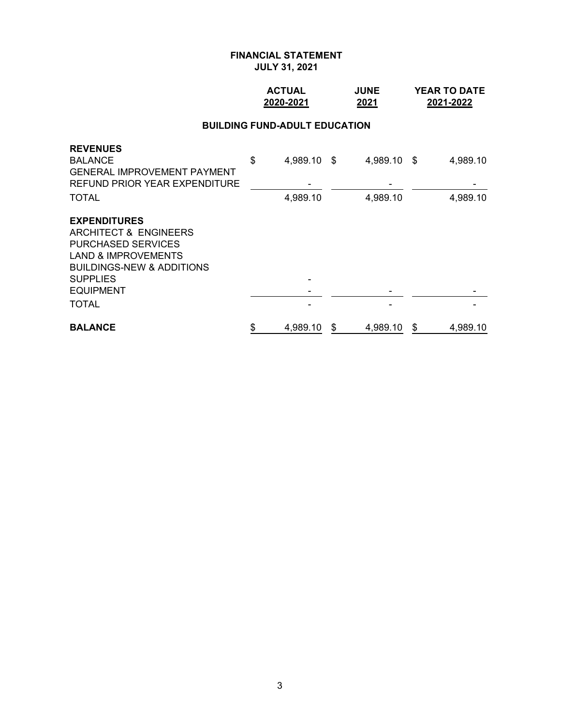#### **ACTUAL JUNE YEAR TO DATE 2020-2021 2021 2021-2022**

## **BUILDING FUND-ADULT EDUCATION**

| <b>BALANCE</b>                       | \$<br>4,989.10    | S | 4,989.10    | \$<br>4,989.10 |
|--------------------------------------|-------------------|---|-------------|----------------|
| <b>TOTAL</b>                         |                   |   |             |                |
| <b>EQUIPMENT</b>                     |                   |   |             |                |
| <b>SUPPLIES</b>                      |                   |   |             |                |
| <b>BUILDINGS-NEW &amp; ADDITIONS</b> |                   |   |             |                |
| <b>LAND &amp; IMPROVEMENTS</b>       |                   |   |             |                |
| PURCHASED SERVICES                   |                   |   |             |                |
| ARCHITECT & ENGINEERS                |                   |   |             |                |
| <b>EXPENDITURES</b>                  |                   |   |             |                |
| <b>TOTAL</b>                         | 4,989.10          |   | 4,989.10    | 4,989.10       |
| REFUND PRIOR YEAR EXPENDITURE        |                   |   |             |                |
| <b>GENERAL IMPROVEMENT PAYMENT</b>   |                   |   |             |                |
| <b>BALANCE</b>                       | \$<br>4,989.10 \$ |   | 4,989.10 \$ | 4,989.10       |
| <b>REVENUES</b>                      |                   |   |             |                |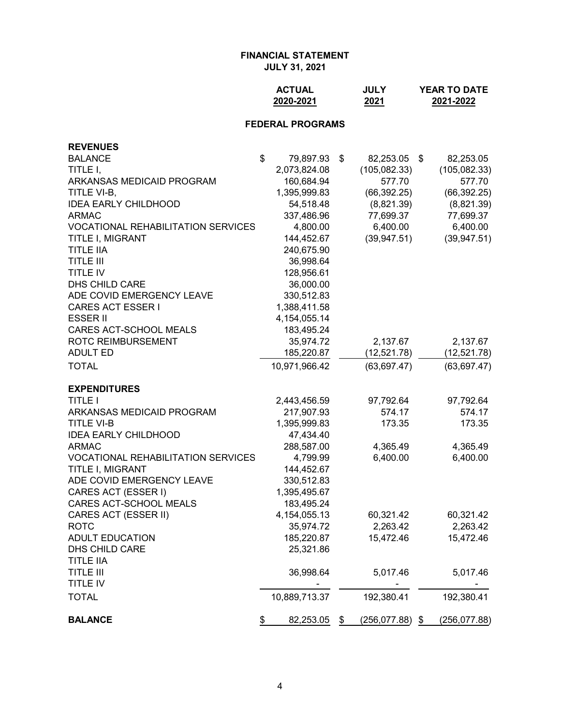# **ACTUAL JULY YEAR TO DATE 2020-2021 2021 2021-2022**

# **FEDERAL PROGRAMS**

| <b>REVENUES</b>                           |                 |                          |                 |
|-------------------------------------------|-----------------|--------------------------|-----------------|
| <b>BALANCE</b>                            | \$<br>79,897.93 | \$<br>82,253.05          | \$<br>82,253.05 |
| TITLE I,                                  | 2,073,824.08    | (105, 082.33)            | (105, 082.33)   |
| ARKANSAS MEDICAID PROGRAM                 | 160,684.94      | 577.70                   | 577.70          |
| TITLE VI-B,                               | 1,395,999.83    | (66, 392.25)             | (66, 392.25)    |
| <b>IDEA EARLY CHILDHOOD</b>               | 54,518.48       | (8,821.39)               | (8,821.39)      |
| <b>ARMAC</b>                              | 337,486.96      | 77,699.37                | 77,699.37       |
| <b>VOCATIONAL REHABILITATION SERVICES</b> | 4,800.00        | 6,400.00                 | 6,400.00        |
| TITLE I, MIGRANT                          | 144,452.67      | (39, 947.51)             | (39, 947.51)    |
| <b>TITLE IIA</b>                          | 240,675.90      |                          |                 |
| <b>TITLE III</b>                          | 36,998.64       |                          |                 |
| <b>TITLE IV</b>                           | 128,956.61      |                          |                 |
| DHS CHILD CARE                            | 36,000.00       |                          |                 |
| ADE COVID EMERGENCY LEAVE                 | 330,512.83      |                          |                 |
| <b>CARES ACT ESSER I</b>                  | 1,388,411.58    |                          |                 |
| <b>ESSER II</b>                           | 4, 154, 055. 14 |                          |                 |
| CARES ACT-SCHOOL MEALS                    | 183,495.24      |                          |                 |
| ROTC REIMBURSEMENT                        | 35,974.72       | 2,137.67                 | 2,137.67        |
| <b>ADULT ED</b>                           | 185,220.87      | (12,521.78)              | (12, 521.78)    |
| <b>TOTAL</b>                              | 10,971,966.42   | (63, 697.47)             | (63, 697.47)    |
| <b>EXPENDITURES</b>                       |                 |                          |                 |
| <b>TITLE I</b>                            | 2,443,456.59    | 97,792.64                | 97,792.64       |
| ARKANSAS MEDICAID PROGRAM                 | 217,907.93      | 574.17                   | 574.17          |
| <b>TITLE VI-B</b>                         | 1,395,999.83    | 173.35                   | 173.35          |
| <b>IDEA EARLY CHILDHOOD</b>               | 47,434.40       |                          |                 |
| <b>ARMAC</b>                              | 288,587.00      | 4,365.49                 | 4,365.49        |
| VOCATIONAL REHABILITATION SERVICES        | 4,799.99        | 6,400.00                 | 6,400.00        |
| TITLE I, MIGRANT                          | 144,452.67      |                          |                 |
| ADE COVID EMERGENCY LEAVE                 | 330,512.83      |                          |                 |
| CARES ACT (ESSER I)                       | 1,395,495.67    |                          |                 |
| CARES ACT-SCHOOL MEALS                    | 183,495.24      |                          |                 |
| CARES ACT (ESSER II)                      | 4, 154, 055. 13 | 60,321.42                | 60,321.42       |
| <b>ROTC</b>                               | 35,974.72       | 2,263.42                 | 2,263.42        |
| <b>ADULT EDUCATION</b>                    | 185,220.87      | 15,472.46                | 15,472.46       |
| <b>DHS CHILD CARE</b>                     | 25,321.86       |                          |                 |
| <b>TITLE IIA</b>                          |                 |                          |                 |
| TITLE III                                 | 36,998.64       | 5,017.46                 | 5,017.46        |
| TITLE IV                                  |                 |                          |                 |
| <b>TOTAL</b>                              | 10,889,713.37   | 192,380.41               | 192,380.41      |
| <b>BALANCE</b>                            | \$<br>82,253.05 | \$<br>$(256, 077.88)$ \$ | (256, 077.88)   |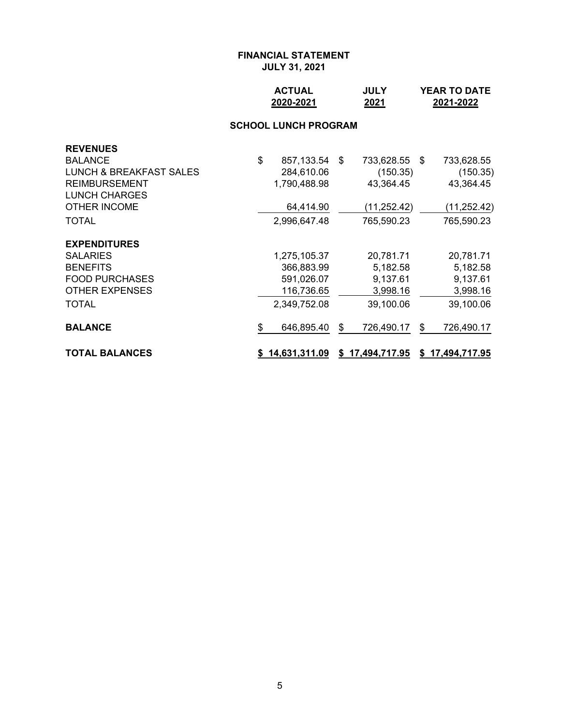| <b>ACTUAL</b> | <b>JULY</b> | <b>YEAR TO DATE</b> |
|---------------|-------------|---------------------|
| 2020-2021     | 2021        | 2021-2022           |

# **SCHOOL LUNCH PROGRAM**

| <b>REVENUES</b><br><b>BALANCE</b><br>LUNCH & BREAKFAST SALES<br><b>REIMBURSEMENT</b><br><b>LUNCH CHARGES</b><br><b>OTHER INCOME</b><br><b>TOTAL</b> | \$<br>857,133.54<br>284,610.06<br>1,790,488.98<br>64,414.90<br>2,996,647.48 | \$<br>733,628.55<br>(150.35)<br>43,364.45<br>(11, 252.42)<br>765,590.23 | - \$ | 733,628.55<br>(150.35)<br>43,364.45<br>(11, 252.42)<br>765,590.23 |
|-----------------------------------------------------------------------------------------------------------------------------------------------------|-----------------------------------------------------------------------------|-------------------------------------------------------------------------|------|-------------------------------------------------------------------|
| <b>EXPENDITURES</b><br><b>SALARIES</b><br><b>BENEFITS</b><br><b>FOOD PURCHASES</b><br><b>OTHER EXPENSES</b><br><b>TOTAL</b>                         | 1,275,105.37<br>366,883.99<br>591,026.07<br>116,736.65<br>2,349,752.08      | 20,781.71<br>5,182.58<br>9,137.61<br>3,998.16<br>39,100.06              |      | 20,781.71<br>5,182.58<br>9,137.61<br>3,998.16<br>39,100.06        |
| <b>BALANCE</b>                                                                                                                                      | \$<br>646,895.40                                                            | \$<br>726,490.17                                                        | \$   | 726,490.17                                                        |
| <b>TOTAL BALANCES</b>                                                                                                                               | 14,631,311.09                                                               | \$17,494,717.95                                                         |      | \$17,494,717.95                                                   |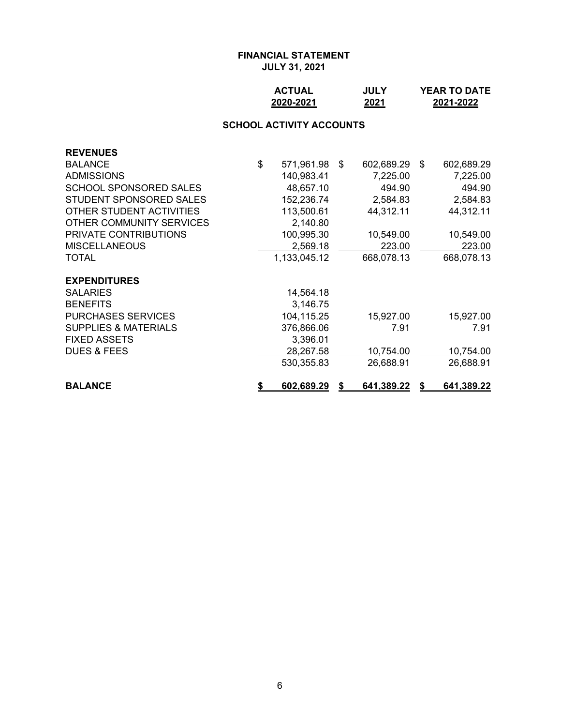| <b>ACTUAL</b> | <b>JULY</b> | <b>YEAR TO DATE</b> |
|---------------|-------------|---------------------|
| 2020-2021     | 2021        | 2021-2022           |

# **SCHOOL ACTIVITY ACCOUNTS**

| <b>REVENUES</b>                 |                  |    |            |    |            |
|---------------------------------|------------------|----|------------|----|------------|
| <b>BALANCE</b>                  | \$<br>571,961.98 | \$ | 602,689.29 | \$ | 602,689.29 |
| <b>ADMISSIONS</b>               | 140,983.41       |    | 7,225.00   |    | 7,225.00   |
| <b>SCHOOL SPONSORED SALES</b>   | 48,657.10        |    | 494.90     |    | 494.90     |
| STUDENT SPONSORED SALES         | 152,236.74       |    | 2,584.83   |    | 2,584.83   |
| OTHER STUDENT ACTIVITIES        | 113,500.61       |    | 44,312.11  |    | 44,312.11  |
| OTHER COMMUNITY SERVICES        | 2,140.80         |    |            |    |            |
| PRIVATE CONTRIBUTIONS           | 100,995.30       |    | 10,549.00  |    | 10,549.00  |
| <b>MISCELLANEOUS</b>            | 2,569.18         |    | 223.00     |    | 223.00     |
| TOTAL                           | 1,133,045.12     |    | 668,078.13 |    | 668,078.13 |
| <b>EXPENDITURES</b>             |                  |    |            |    |            |
| <b>SALARIES</b>                 | 14,564.18        |    |            |    |            |
| <b>BENEFITS</b>                 | 3,146.75         |    |            |    |            |
| <b>PURCHASES SERVICES</b>       | 104,115.25       |    | 15,927.00  |    | 15,927.00  |
| <b>SUPPLIES &amp; MATERIALS</b> | 376,866.06       |    | 7.91       |    | 7.91       |
| <b>FIXED ASSETS</b>             | 3,396.01         |    |            |    |            |
| <b>DUES &amp; FEES</b>          | 28,267.58        |    | 10,754.00  |    | 10,754.00  |
|                                 | 530,355.83       |    | 26,688.91  |    | 26,688.91  |
| <b>BALANCE</b>                  | \$<br>602,689.29 | S  | 641,389.22 | S  | 641,389.22 |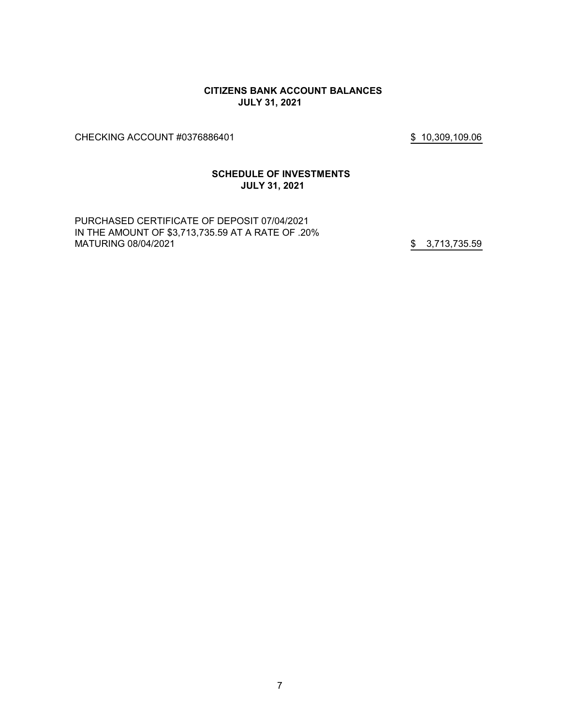#### **CITIZENS BANK ACCOUNT BALANCES JULY 31, 2021**

CHECKING ACCOUNT #0376886401 \$ 10,309,109.06

#### **SCHEDULE OF INVESTMENTS JULY 31, 2021**

PURCHASED CERTIFICATE OF DEPOSIT 07/04/2021 IN THE AMOUNT OF \$3,713,735.59 AT A RATE OF .20% MATURING 08/04/2021 **\$** 3,713,735.59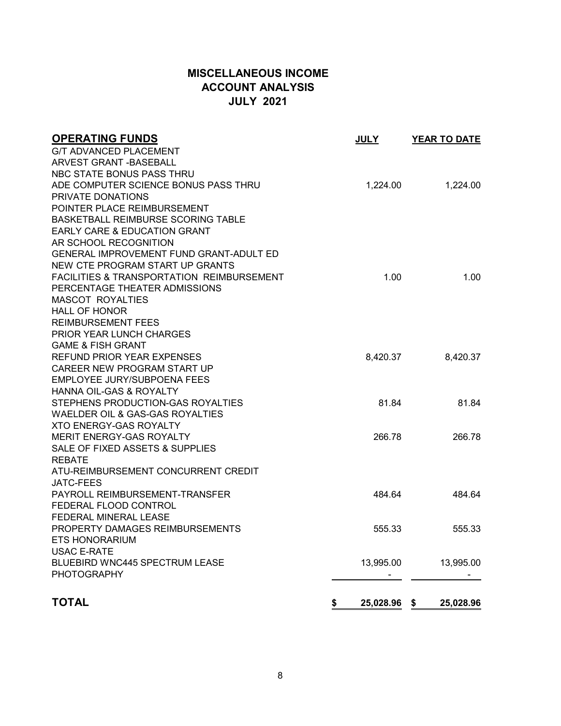# **MISCELLANEOUS INCOME ACCOUNT ANALYSIS JULY 2021**

| <b>OPERATING FUNDS</b>                         | <b>JULY</b>     | <b>YEAR TO DATE</b> |
|------------------------------------------------|-----------------|---------------------|
| <b>G/T ADVANCED PLACEMENT</b>                  |                 |                     |
| ARVEST GRANT - BASEBALL                        |                 |                     |
| NBC STATE BONUS PASS THRU                      |                 |                     |
| ADE COMPUTER SCIENCE BONUS PASS THRU           | 1,224.00        | 1,224.00            |
| PRIVATE DONATIONS                              |                 |                     |
| POINTER PLACE REIMBURSEMENT                    |                 |                     |
| BASKETBALL REIMBURSE SCORING TABLE             |                 |                     |
| <b>EARLY CARE &amp; EDUCATION GRANT</b>        |                 |                     |
| AR SCHOOL RECOGNITION                          |                 |                     |
| <b>GENERAL IMPROVEMENT FUND GRANT-ADULT ED</b> |                 |                     |
| NEW CTE PROGRAM START UP GRANTS                |                 |                     |
| FACILITIES & TRANSPORTATION REIMBURSEMENT      | 1.00            | 1.00                |
| PERCENTAGE THEATER ADMISSIONS                  |                 |                     |
| <b>MASCOT ROYALTIES</b>                        |                 |                     |
| <b>HALL OF HONOR</b>                           |                 |                     |
| <b>REIMBURSEMENT FEES</b>                      |                 |                     |
| <b>PRIOR YEAR LUNCH CHARGES</b>                |                 |                     |
| <b>GAME &amp; FISH GRANT</b>                   |                 |                     |
| <b>REFUND PRIOR YEAR EXPENSES</b>              | 8,420.37        | 8,420.37            |
| CAREER NEW PROGRAM START UP                    |                 |                     |
| EMPLOYEE JURY/SUBPOENA FEES                    |                 |                     |
| HANNA OIL-GAS & ROYALTY                        |                 |                     |
| STEPHENS PRODUCTION-GAS ROYALTIES              | 81.84           | 81.84               |
| WAELDER OIL & GAS-GAS ROYALTIES                |                 |                     |
| <b>XTO ENERGY-GAS ROYALTY</b>                  |                 |                     |
| MERIT ENERGY-GAS ROYALTY                       | 266.78          | 266.78              |
| SALE OF FIXED ASSETS & SUPPLIES                |                 |                     |
| <b>REBATE</b>                                  |                 |                     |
| ATU-REIMBURSEMENT CONCURRENT CREDIT            |                 |                     |
| <b>JATC-FEES</b>                               |                 |                     |
| PAYROLL REIMBURSEMENT-TRANSFER                 | 484.64          | 484.64              |
| FEDERAL FLOOD CONTROL                          |                 |                     |
| FEDERAL MINERAL LEASE                          |                 |                     |
| PROPERTY DAMAGES REIMBURSEMENTS                | 555.33          | 555.33              |
| <b>ETS HONORARIUM</b>                          |                 |                     |
| <b>USAC E-RATE</b>                             |                 |                     |
| <b>BLUEBIRD WNC445 SPECTRUM LEASE</b>          | 13,995.00       | 13,995.00           |
| <b>PHOTOGRAPHY</b>                             |                 |                     |
| <b>TOTAL</b>                                   | \$<br>25,028.96 | \$<br>25,028.96     |
|                                                |                 |                     |